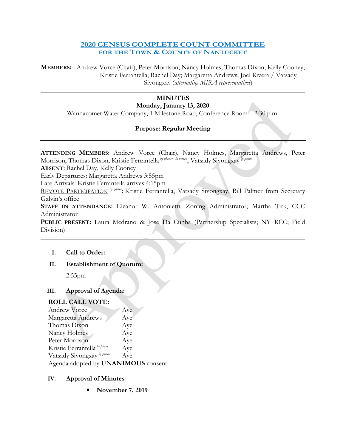### **2020 CENSUS COMPLETE COUNT COMMITTEE FOR THE TOWN & COUNTY OF NANTUCKET**

**MEMBERS:** Andrew Vorce (Chair); Peter Morrison; Nancy Holmes; Thomas Dixon; Kelly Cooney; Kristie Ferrantella; Rachel Day; Margaretta Andrews; Joel Rivera / Vatsady Sivongxay (*alternating MIRA representatives*)

# **MINUTES**

# **Monday, January 13, 2020**

Wannacomet Water Company, 1 Milestone Road, Conference Room – 2:30 p.m.

# **Purpose: Regular Meeting**

| ATTENDING MEMBERS: Andrew Vorce (Chair), Nancy Holmes, Margaretta Andrews, Peter<br>Morrison, Thomas Dixon, Kristie Ferrantella by phone/ in person, Vatsady Sivongxay by phone |
|---------------------------------------------------------------------------------------------------------------------------------------------------------------------------------|
| <b>ABSENT:</b> Rachel Day, Kelly Cooney                                                                                                                                         |
| Early Departures: Margaretta Andrews 3:55pm                                                                                                                                     |
| Late Arrivals: Kristie Ferrantella arrives 4:15pm                                                                                                                               |
| REMOTE PARTICIPATION <sup> by phone</sup> : Kristie Ferrantella, Vatsady Sivongxay, Bill Palmer from Secretary                                                                  |
| Galvin's office                                                                                                                                                                 |
| STAFF IN ATTENDANCE: Eleanor W. Antonietti, Zoning Administrator; Martha Tirk, CCC                                                                                              |
| Administrator                                                                                                                                                                   |
| PUBLIC PRESENT: Laura Medrano & Jose Da Cunha (Partnership Specialists; NY RCC; Field                                                                                           |
| Division)                                                                                                                                                                       |
|                                                                                                                                                                                 |
| Call to Order:<br>L.                                                                                                                                                            |
| <b>Establishment of Quorum:</b><br>Н.                                                                                                                                           |

2:55pm

# **III. Approval of Agenda:**

### **ROLL CALL VOTE:**

| Andrew Vorce                          | Aye |  |
|---------------------------------------|-----|--|
| Margaretta Andrews                    | Aye |  |
| Thomas Dixon                          | Aye |  |
| Nancy Holmes                          | Aye |  |
| Peter Morrison                        | Aye |  |
| Kristie Ferrantella by phone          | Aye |  |
| Vatsady Sivongxay <sup>by phone</sup> | Aye |  |
| Agenda adopted by UNANIMOUS consent.  |     |  |

### **IV. Approval of Minutes**

**November 7, 2019**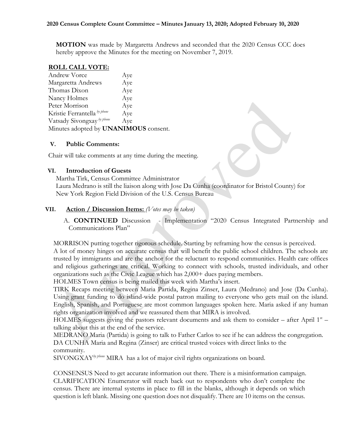**MOTION** was made by Margaretta Andrews and seconded that the 2020 Census CCC does hereby approve the Minutes for the meeting on November 7, 2019.

#### **ROLL CALL VOTE:**

| Andrew Vorce                                 | Aye |  |
|----------------------------------------------|-----|--|
| Margaretta Andrews                           | Aye |  |
| Thomas Dixon                                 | Aye |  |
| Nancy Holmes                                 | Aye |  |
| Peter Morrison                               | Aye |  |
| Kristie Ferrantella by phone                 | Aye |  |
| Vatsady Sivongxay <sup>by phone</sup>        | Aye |  |
| Minutes adopted by <b>UNANIMOUS</b> consent. |     |  |

#### **V. Public Comments:**

Chair will take comments at any time during the meeting.

#### **VI. Introduction of Guests**

Martha Tirk, Census Committee Administrator Laura Medrano is still the liaison along with Jose Da Cunha (coordinator for Bristol County) for New York Region Field Division of the U.S. Census Bureau

### **VII. Action / Discussion Items:** *(Votes may be taken)*

A. **CONTINUED** Discussion - Implementation "2020 Census Integrated Partnership and Communications Plan"

MORRISON putting together rigorous schedule. Starting by reframing how the census is perceived. A lot of money hinges on accurate census that will benefit the public school children. The schools are trusted by immigrants and are the anchor for the reluctant to respond communities. Health care offices and religious gatherings are critical. Working to connect with schools, trusted individuals, and other organizations such as the Civic League which has 2,000+ dues paying members.

HOLMES Town census is being mailed this week with Martha's insert.

TIRK Recaps meeting between Maria Partida, Regina Zinser, Laura (Medrano) and Jose (Da Cunha). Using grant funding to do island-wide postal patron mailing to everyone who gets mail on the island. English, Spanish, and Portuguese are most common languages spoken here. Maria asked if any human rights organization involved and we reassured them that MIRA is involved.

HOLMES suggests giving the pastors relevant documents and ask them to consider – after April  $1^{st}$  – talking about this at the end of the service.

MEDRANO Maria (Partida) is going to talk to Father Carlos to see if he can address the congregation. DA CUNHA Maria and Regina (Zinser) are critical trusted voices with direct links to the community.

SIVONGXAY*by phone* MIRA has a lot of major civil rights organizations on board.

CONSENSUS Need to get accurate information out there. There is a misinformation campaign. CLARIFICATION Enumerator will reach back out to respondents who don't complete the census. There are internal systems in place to fill in the blanks, although it depends on which question is left blank. Missing one question does not disqualify. There are 10 items on the census.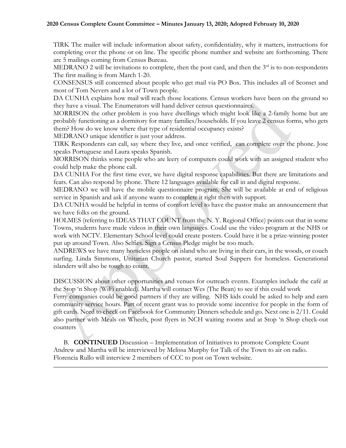TIRK The mailer will include information about safety, confidentiality, why it matters, instructions for completing over the phone or on line. The specific phone number and website are forthcoming. There are 5 mailings coming from Census Bureau.

MEDRANO 2 will be invitations to complete, then the post card, and then the  $3<sup>rd</sup>$  is to non-respondents The first mailing is from March 1-20.

CONSENSUS still concerned about people who get mail via PO Box. This includes all of Sconset and most of Tom Nevers and a lot of Town people.

DA CUNHA explains how mail will reach those locations. Census workers have been on the ground so they have a visual. The Enumerators will hand deliver census questionnaires.

MORRISON the other problem is you have dwellings which might look like a 2-family home but are probably functioning as a dormitory for many families/households. If you leave 2 census forms, who gets them? How do we know where that type of residential occupancy exists?

MEDRANO unique identifier is just your address.

TIRK Respondents can call, say where they live, and once verified, can complete over the phone. Jose speaks Portuguese and Laura speaks Spanish.

MORRISON thinks some people who are leery of computers could work with an assigned student who could help make the phone call.

DA CUNHA For the first time ever, we have digital response capabilities. But there are limitations and fears. Can also respond by phone. There 12 languages available for call in and digital response.

MEDRANO we will have the mobile questionnaire program. She will be available at end of religious service in Spanish and ask if anyone wants to complete it right then with support.

DA CUNHA would be helpful in terms of comfort level to have the pastor make an announcement that we have folks on the ground.

HOLMES (referring to IDEAS THAT COUNT from the N. Y. Regional Office) points out that in some Towns, students have made videos in their own languages. Could use the video program at the NHS or work with NCTV. Elementary School level could create posters. Could have it be a prize-winning poster put up around Town. Also Selfies. Sign a Census Pledge might be too much.

ANDREWS we have many homeless people on island who are living in their cars, in the woods, or couch surfing. Linda Simmons, Unitarian Church pastor, started Soul Suppers for homeless. Generational islanders will also be tough to count.

DISCUSSION about other opportunities and venues for outreach events. Examples include the café at the Stop 'n Shop (WiFi enabled). Martha will contact Wes (The Bean) to see if this could work

Ferry companies could be good partners if they are willing. NHS kids could be asked to help and earn community service hours. Part of recent grant was to provide some incentive for people in the form of gift cards. Need to check on Facebook for Community Dinners schedule and go. Next one is 2/11. Could also partner with Meals on Wheels, post flyers in NCH waiting rooms and at Stop 'n Shop check-out counters

B. **CONTINUED** Discussion – Implementation of Initiatives to promote Complete Count Andrew and Martha will be interviewed by Melissa Murphy for Talk of the Town to air on radio. Florencia Rullo will interview 2 members of CCC to post on Town website.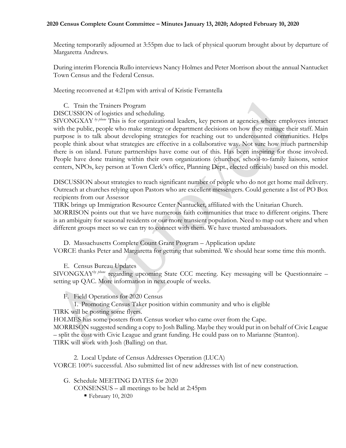#### **2020 Census Complete Count Committee – Minutes January 13, 2020; Adopted February 10, 2020**

Meeting temporarily adjourned at 3:55pm due to lack of physical quorum brought about by departure of Margaretta Andrews.

During interim Florencia Rullo interviews Nancy Holmes and Peter Morrison about the annual Nantucket Town Census and the Federal Census.

Meeting reconvened at 4:21pm with arrival of Kristie Ferrantella

C. Train the Trainers Program

DISCUSSION of logistics and scheduling.

SIVONGXAY *by phone* This is for organizational leaders, key person at agencies where employees interact with the public, people who make strategy or department decisions on how they manage their staff. Main purpose is to talk about developing strategies for reaching out to undercounted communities. Helps people think about what strategies are effective in a collaborative way. Not sure how much partnership there is on island. Future partnerships have come out of this. Has been inspiring for those involved. People have done training within their own organizations (churches, school-to-family liaisons, senior centers, NPOs, key person at Town Clerk's office, Planning Dept., elected officials) based on this model.

DISCUSSION about strategies to reach significant number of people who do not get home mail delivery. Outreach at churches relying upon Pastors who are excellent messengers. Could generate a list of PO Box recipients from our Assessor

TIRK brings up Immigration Resource Center Nantucket, affiliated with the Unitarian Church.

MORRISON points out that we have numerous faith communities that trace to different origins. There is an ambiguity for seasonal residents or our more transient population. Need to map out where and when different groups meet so we can try to connect with them. We have trusted ambassadors.

D. Massachusetts Complete Count Grant Program – Application update VORCE thanks Peter and Margaretta for getting that submitted. We should hear some time this month.

E. Census Bureau Updates

SIVONGXAY*by phone* regarding upcoming State CCC meeting. Key messaging will be Questionnaire – setting up QAC. More information in next couple of weeks.

F. Field Operations for 2020 Census

1. Promoting Census Taker position within community and who is eligible

TIRK will be posting some flyers.

HOLMES has some posters from Census worker who came over from the Cape.

MORRISON suggested sending a copy to Josh Balling. Maybe they would put in on behalf of Civic League – split the cost with Civic League and grant funding. He could pass on to Marianne (Stanton). TIRK will work with Josh (Balling) on that.

2. Local Update of Census Addresses Operation (LUCA) VORCE 100% successful. Also submitted list of new addresses with list of new construction.

G. Schedule MEETING DATES for 2020

CONSENSUS – all meetings to be held at 2:45pm

February 10, 2020